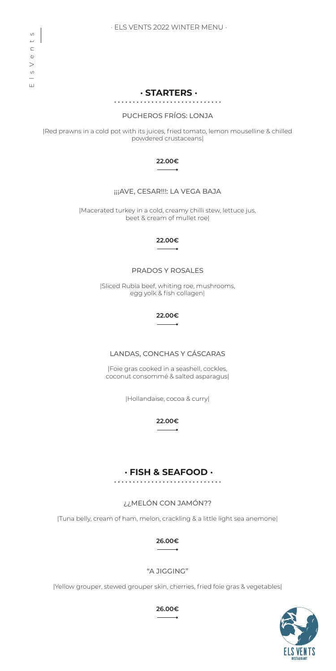**· STARTERS ·**

## PUCHEROS FRÍOS: LONJA

|Red prawns in a cold pot with its juices, fried tomato, lemon mouselline & chilled powdered crustaceans|

### **22.00€**  $\overline{\phantom{a}}$

# ¡¡¡AVE, CESAR!!!: LA VEGA BAJA

|Macerated turkey in a cold, creamy chilli stew, lettuce jus, beet & cream of mullet roe|

### **22.00€**

# PRADOS Y ROSALES

|Sliced Rubia beef, whiting roe, mushrooms, egg yolk & fish collagen|

> **22.00€**

LANDAS, CONCHAS Y CÁSCARAS

|Foie gras cooked in a seashell, cockles, coconut consommé & salted asparagus|

|Hollandaise, cocoa & curry|

**22.00€**

# **· FISH & SEAFOOD ·**

# ¿¿MELÓN CON JAMÓN??

|Tuna belly, cream of ham, melon, crackling & a little light sea anemone|

**26.00€**

# "A JIGGING"

|Yellow grouper, stewed grouper skin, cherries, fried foie gras & vegetables|



**26.00€**